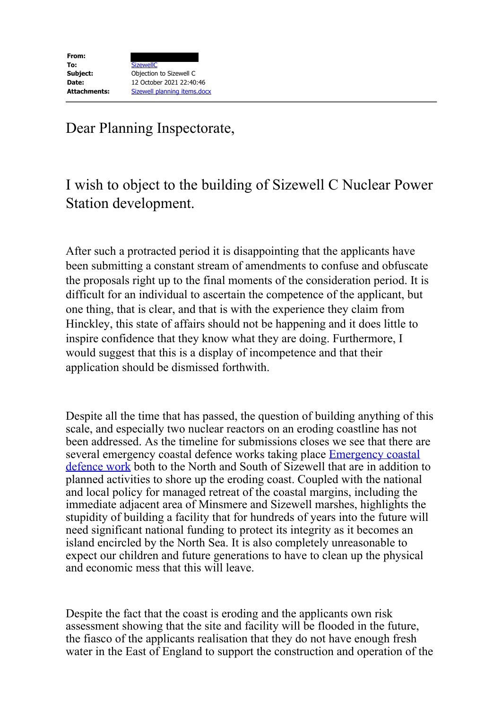Dear Planning Inspectorate,

## I wish to object to the building of Sizewell C Nuclear Power Station development.

After such a protracted period it is disappointing that the applicants have been submitting a constant stream of amendments to confuse and obfuscate the proposals right up to the final moments of the consideration period. It is difficult for an individual to ascertain the competence of the applicant, but one thing, that is clear, and that is with the experience they claim from Hinckley, this state of affairs should not be happening and it does little to inspire confidence that they know what they are doing. Furthermore, I would suggest that this is a display of incompetence and that their application should be dismissed forthwith.

Despite all the time that has passed, the question of building anything of this scale, and especially two nuclear reactors on an eroding coastline has not been addressed. As the timeline for submissions closes we see that there are several emergency coastal defence works taking place **Emergency coastal** defence work both to the North and South of Sizewell that are in addition to planned activities to shore up the eroding coast. Coupled with the national and local policy for managed retreat of the coastal margins, including the immediate adjacent area of Minsmere and Sizewell marshes, highlights the stupidity of building a facility that for hundreds of years into the future will need significant national funding to protect its integrity as it becomes an island encircled by the North Sea. It is also completely unreasonable to expect our children and future generations to have to clean up the physical and economic mess that this will leave.

Despite the fact that the coast is eroding and the applicants own risk assessment showing that the site and facility will be flooded in the future, the fiasco of the applicants realisation that they do not have enough fresh water in the East of England to support the construction and operation of the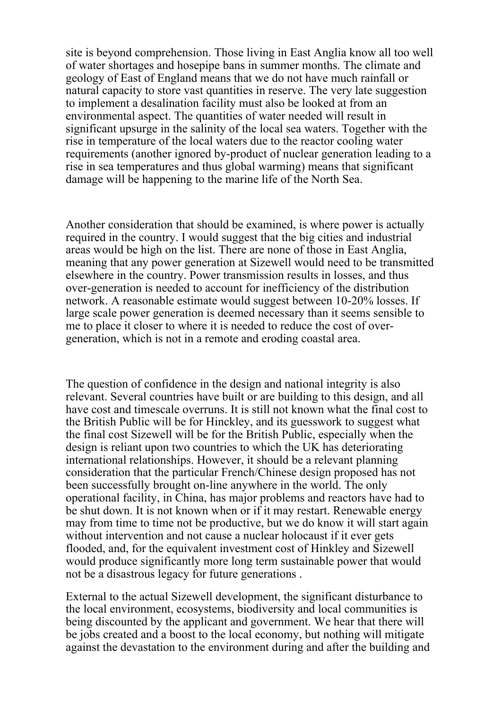site is beyond comprehension. Those living in East Anglia know all too well of water shortages and hosepipe bans in summer months. The climate and geology of East of England means that we do not have much rainfall or natural capacity to store vast quantities in reserve. The very late suggestion to implement a desalination facility must also be looked at from an environmental aspect. The quantities of water needed will result in significant upsurge in the salinity of the local sea waters. Together with the rise in temperature of the local waters due to the reactor cooling water requirements (another ignored by-product of nuclear generation leading to a rise in sea temperatures and thus global warming) means that significant damage will be happening to the marine life of the North Sea.

Another consideration that should be examined, is where power is actually required in the country. I would suggest that the big cities and industrial areas would be high on the list. There are none of those in East Anglia, meaning that any power generation at Sizewell would need to be transmitted elsewhere in the country. Power transmission results in losses, and thus over-generation is needed to account for inefficiency of the distribution network. A reasonable estimate would suggest between 10-20% losses. If large scale power generation is deemed necessary than it seems sensible to me to place it closer to where it is needed to reduce the cost of overgeneration, which is not in a remote and eroding coastal area.

The question of confidence in the design and national integrity is also relevant. Several countries have built or are building to this design, and all have cost and timescale overruns. It is still not known what the final cost to the British Public will be for Hinckley, and its guesswork to suggest what the final cost Sizewell will be for the British Public, especially when the design is reliant upon two countries to which the UK has deteriorating international relationships. However, it should be a relevant planning consideration that the particular French/Chinese design proposed has not been successfully brought on-line anywhere in the world. The only operational facility, in China, has major problems and reactors have had to be shut down. It is not known when or if it may restart. Renewable energy may from time to time not be productive, but we do know it will start again without intervention and not cause a nuclear holocaust if it ever gets flooded, and, for the equivalent investment cost of Hinkley and Sizewell would produce significantly more long term sustainable power that would not be a disastrous legacy for future generations .

External to the actual Sizewell development, the significant disturbance to the local environment, ecosystems, biodiversity and local communities is being discounted by the applicant and government. We hear that there will be jobs created and a boost to the local economy, but nothing will mitigate against the devastation to the environment during and after the building and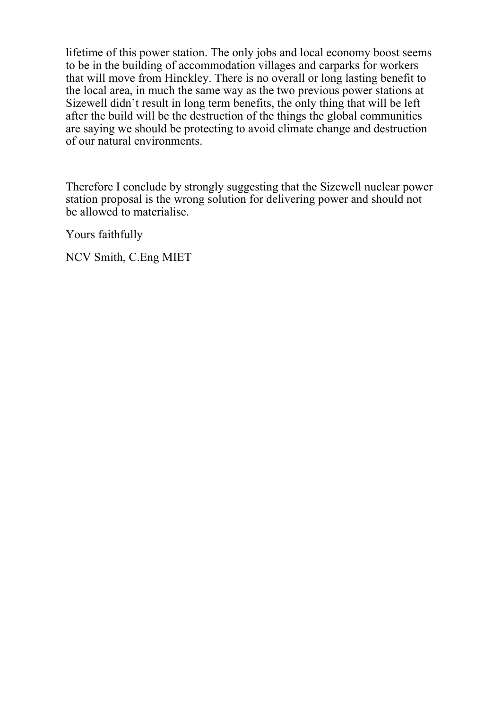lifetime of this power station. The only jobs and local economy boost seems to be in the building of accommodation villages and carparks for workers that will move from Hinckley. There is no overall or long lasting benefit to the local area, in much the same way as the two previous power stations at Sizewell didn't result in long term benefits, the only thing that will be left after the build will be the destruction of the things the global communities are saying we should be protecting to avoid climate change and destruction of our natural environments.

Therefore I conclude by strongly suggesting that the Sizewell nuclear power station proposal is the wrong solution for delivering power and should not be allowed to materialise.

Yours faithfully

NCV Smith, C.Eng MIET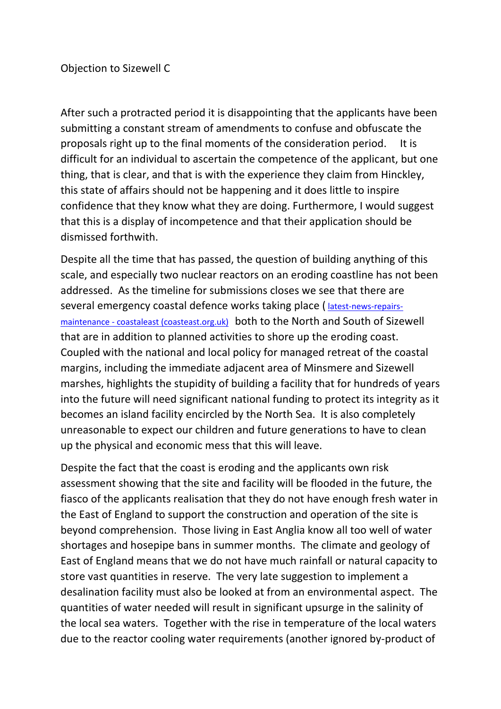After such a protracted period it is disappointing that the applicants have been submitting a constant stream of amendments to confuse and obfuscate the proposals right up to the final moments of the consideration period. It is difficult for an individual to ascertain the competence of the applicant, but one thing, that is clear, and that is with the experience they claim from Hinckley, this state of affairs should not be happening and it does little to inspire confidence that they know what they are doing. Furthermore, I would suggest that this is a display of incompetence and that their application should be dismissed forthwith.

Despite all the time that has passed, the question of building anything of this scale, and especially two nuclear reactors on an eroding coastline has not been addressed. As the timeline for submissions closes we see that there are several emergency coastal defence works taking place ( [latest-news-repairs](https://www.coasteast.org.uk/latest-news-repairs-maintenance)maintenance - [coastaleast \(coasteast.org.uk\)](https://www.coasteast.org.uk/latest-news-repairs-maintenance) both to the North and South of Sizewell that are in addition to planned activities to shore up the eroding coast. Coupled with the national and local policy for managed retreat of the coastal margins, including the immediate adjacent area of Minsmere and Sizewell marshes, highlights the stupidity of building a facility that for hundreds of years into the future will need significant national funding to protect its integrity as it becomes an island facility encircled by the North Sea. It is also completely unreasonable to expect our children and future generations to have to clean up the physical and economic mess that this will leave.

Despite the fact that the coast is eroding and the applicants own risk assessment showing that the site and facility will be flooded in the future, the fiasco of the applicants realisation that they do not have enough fresh water in the East of England to support the construction and operation of the site is beyond comprehension. Those living in East Anglia know all too well of water shortages and hosepipe bans in summer months. The climate and geology of East of England means that we do not have much rainfall or natural capacity to store vast quantities in reserve. The very late suggestion to implement a desalination facility must also be looked at from an environmental aspect. The quantities of water needed will result in significant upsurge in the salinity of the local sea waters. Together with the rise in temperature of the local waters due to the reactor cooling water requirements (another ignored by-product of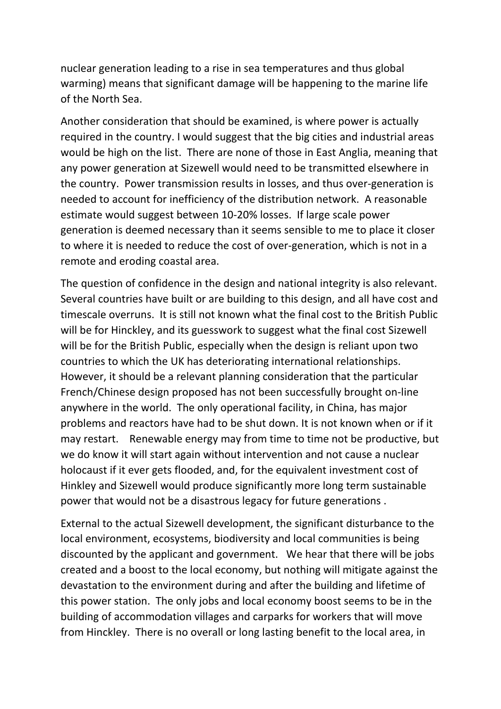nuclear generation leading to a rise in sea temperatures and thus global warming) means that significant damage will be happening to the marine life of the North Sea.

Another consideration that should be examined, is where power is actually required in the country. I would suggest that the big cities and industrial areas would be high on the list. There are none of those in East Anglia, meaning that any power generation at Sizewell would need to be transmitted elsewhere in the country. Power transmission results in losses, and thus over-generation is needed to account for inefficiency of the distribution network. A reasonable estimate would suggest between 10-20% losses. If large scale power generation is deemed necessary than it seems sensible to me to place it closer to where it is needed to reduce the cost of over-generation, which is not in a remote and eroding coastal area.

The question of confidence in the design and national integrity is also relevant. Several countries have built or are building to this design, and all have cost and timescale overruns. It is still not known what the final cost to the British Public will be for Hinckley, and its guesswork to suggest what the final cost Sizewell will be for the British Public, especially when the design is reliant upon two countries to which the UK has deteriorating international relationships. However, it should be a relevant planning consideration that the particular French/Chinese design proposed has not been successfully brought on-line anywhere in the world. The only operational facility, in China, has major problems and reactors have had to be shut down. It is not known when or if it may restart. Renewable energy may from time to time not be productive, but we do know it will start again without intervention and not cause a nuclear holocaust if it ever gets flooded, and, for the equivalent investment cost of Hinkley and Sizewell would produce significantly more long term sustainable power that would not be a disastrous legacy for future generations .

External to the actual Sizewell development, the significant disturbance to the local environment, ecosystems, biodiversity and local communities is being discounted by the applicant and government. We hear that there will be jobs created and a boost to the local economy, but nothing will mitigate against the devastation to the environment during and after the building and lifetime of this power station. The only jobs and local economy boost seems to be in the building of accommodation villages and carparks for workers that will move from Hinckley. There is no overall or long lasting benefit to the local area, in